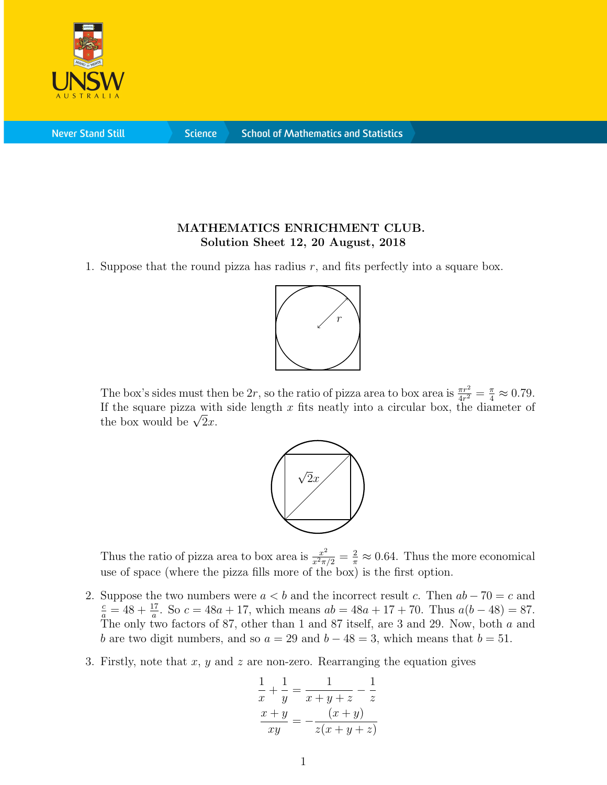

**Never Stand Still** 

**Science** 

## MATHEMATICS ENRICHMENT CLUB. Solution Sheet 12, 20 August, 2018

1. Suppose that the round pizza has radius  $r$ , and fits perfectly into a square box.



The box's sides must then be 2r, so the ratio of pizza area to box area is  $\frac{\pi r^2}{4r^2} = \frac{\pi}{4} \approx 0.79$ . If the square pizza with side length  $x$  fits neatly into a circular box, the diameter of If the square pizza with<br>the box would be  $\sqrt{2}x$ .



Thus the ratio of pizza area to box area is  $\frac{x^2}{x^2 \pi/2} = \frac{2}{\pi} \approx 0.64$ . Thus the more economical use of space (where the pizza fills more of the box) is the first option.

- 2. Suppose the two numbers were  $a < b$  and the incorrect result c. Then  $ab 70 = c$  and  $\frac{c}{a} = 48 + \frac{17}{a}$ . So  $c = 48a + 17$ , which means  $ab = 48a + 17 + 70$ . Thus  $a(b - 48) = 87$ . The only two factors of 87, other than 1 and 87 itself, are 3 and 29. Now, both a and b are two digit numbers, and so  $a = 29$  and  $b - 48 = 3$ , which means that  $b = 51$ .
- 3. Firstly, note that x, y and z are non-zero. Rearranging the equation gives

$$
\frac{1}{x} + \frac{1}{y} = \frac{1}{x+y+z} - \frac{1}{z}
$$

$$
\frac{x+y}{xy} = -\frac{(x+y)}{z(x+y+z)}
$$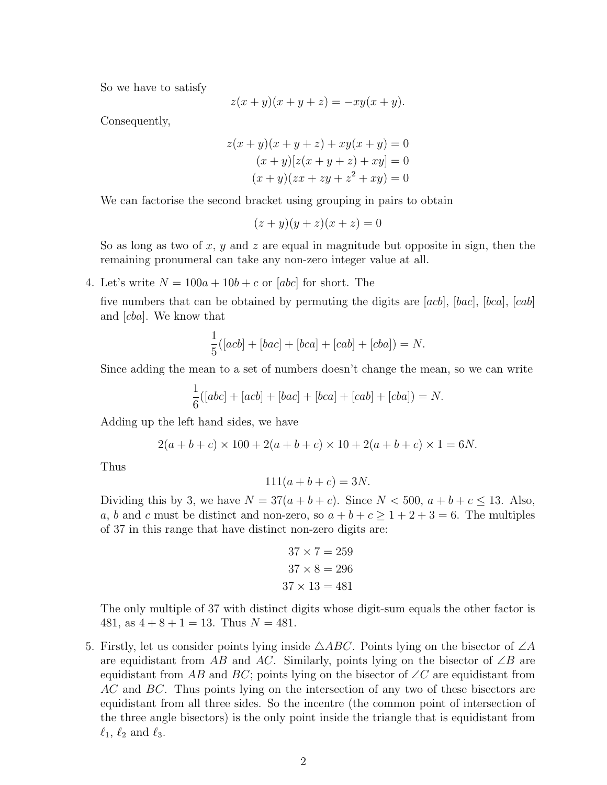So we have to satisfy

$$
z(x + y)(x + y + z) = -xy(x + y).
$$

Consequently,

$$
z(x + y)(x + y + z) + xy(x + y) = 0
$$
  
(x + y)[z(x + y + z) + xy] = 0  
(x + y)(zx + zy + z<sup>2</sup> + xy) = 0

We can factorise the second bracket using grouping in pairs to obtain

$$
(z+y)(y+z)(x+z) = 0
$$

So as long as two of x, y and z are equal in magnitude but opposite in sign, then the remaining pronumeral can take any non-zero integer value at all.

4. Let's write  $N = 100a + 10b + c$  or [abc] for short. The

five numbers that can be obtained by permuting the digits are [acb], [bac], [bca], [cab] and [cba]. We know that

$$
\frac{1}{5}([acb] + [bac] + [bca] + [cab] + [cba]) = N.
$$

Since adding the mean to a set of numbers doesn't change the mean, so we can write

$$
\frac{1}{6}([abc] + [acb] + [bac] + [bca] + [cab] + [cba]) = N.
$$

Adding up the left hand sides, we have

$$
2(a+b+c) \times 100 + 2(a+b+c) \times 10 + 2(a+b+c) \times 1 = 6N.
$$

Thus

$$
111(a + b + c) = 3N.
$$

Dividing this by 3, we have  $N = 37(a + b + c)$ . Since  $N < 500$ ,  $a + b + c \le 13$ . Also, a, b and c must be distinct and non-zero, so  $a + b + c \ge 1 + 2 + 3 = 6$ . The multiples of 37 in this range that have distinct non-zero digits are:

$$
37 \times 7 = 259
$$

$$
37 \times 8 = 296
$$

$$
37 \times 13 = 481
$$

The only multiple of 37 with distinct digits whose digit-sum equals the other factor is 481, as  $4 + 8 + 1 = 13$ . Thus  $N = 481$ .

5. Firstly, let us consider points lying inside  $\triangle ABC$ . Points lying on the bisector of  $\angle A$ are equidistant from AB and AC. Similarly, points lying on the bisector of  $\angle B$  are equidistant from AB and BC; points lying on the bisector of  $\angle C$  are equidistant from AC and BC. Thus points lying on the intersection of any two of these bisectors are equidistant from all three sides. So the incentre (the common point of intersection of the three angle bisectors) is the only point inside the triangle that is equidistant from  $\ell_1, \ell_2$  and  $\ell_3$ .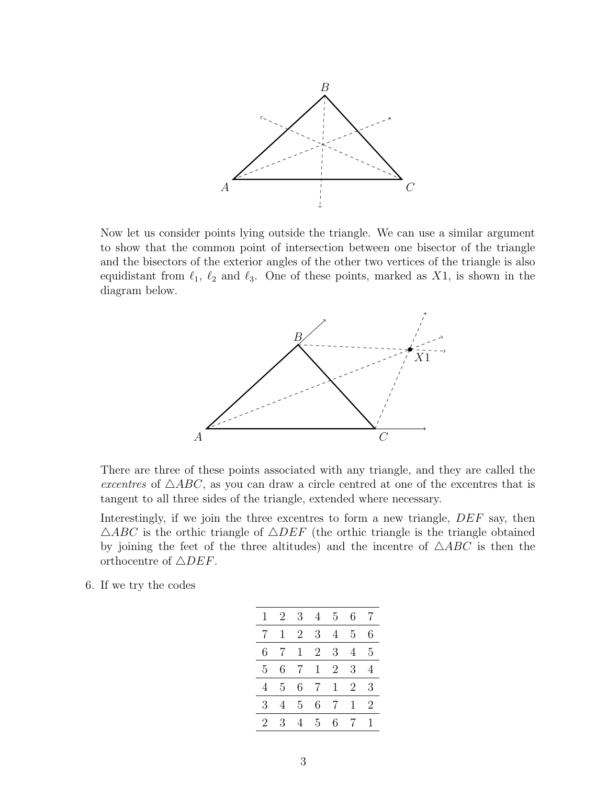

Now let us consider points lying outside the triangle. We can use a similar argument to show that the common point of intersection between one bisector of the triangle and the bisectors of the exterior angles of the other two vertices of the triangle is also equidistant from  $\ell_1$ ,  $\ell_2$  and  $\ell_3$ . One of these points, marked as X1, is shown in the diagram below.



There are three of these points associated with any triangle, and they are called the excentres of  $\triangle ABC$ , as you can draw a circle centred at one of the excentres that is tangent to all three sides of the triangle, extended where necessary.

Interestingly, if we join the three excentres to form a new triangle,  $DEF$  say, then  $\triangle ABC$  is the orthic triangle of  $\triangle DEF$  (the orthic triangle is the triangle obtained by joining the feet of the three altitudes) and the incentre of  $\triangle ABC$  is then the orthocentre of  $\triangle DEF$ .

6. If we try the codes

| 1 | $\sqrt{2}$ | 3              | 4            | $5^{\circ}$  | 6  | 7 |
|---|------------|----------------|--------------|--------------|----|---|
| 7 | 1          | $\overline{2}$ | 3            | 4            | 5  | 6 |
| 6 | 7          | 1              | 2            | 3            | 4  | 5 |
| 5 | 6          | 7              | $\mathbf{1}$ | 2            | 3  | 4 |
| 4 | 5          | 6              | 7            | $\mathbf{1}$ | 2  | 3 |
| 3 | 4          | 5              | 6            | 7            | 1  | 2 |
| 2 | 3          |                | 5.           | 6.           | -7 |   |